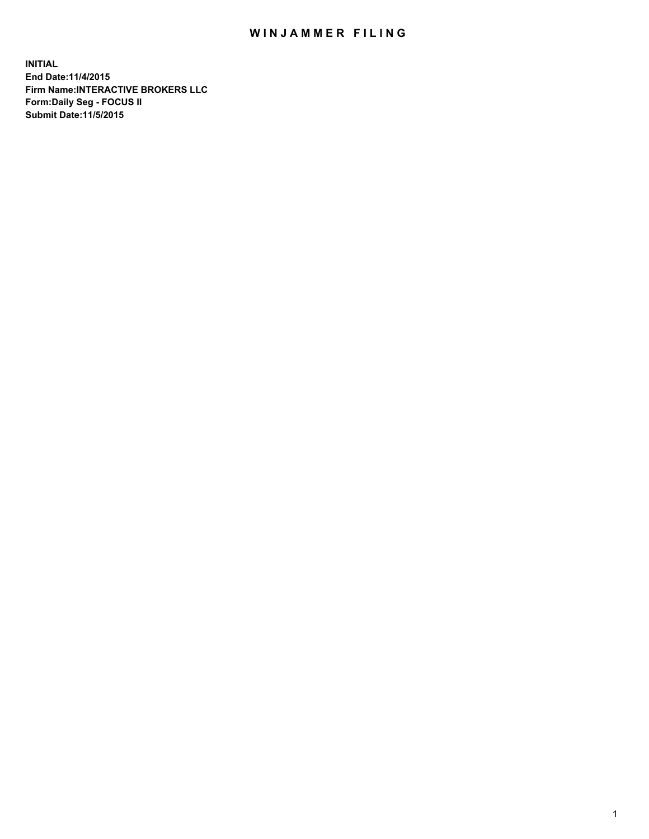## WIN JAMMER FILING

**INITIAL End Date:11/4/2015 Firm Name:INTERACTIVE BROKERS LLC Form:Daily Seg - FOCUS II Submit Date:11/5/2015**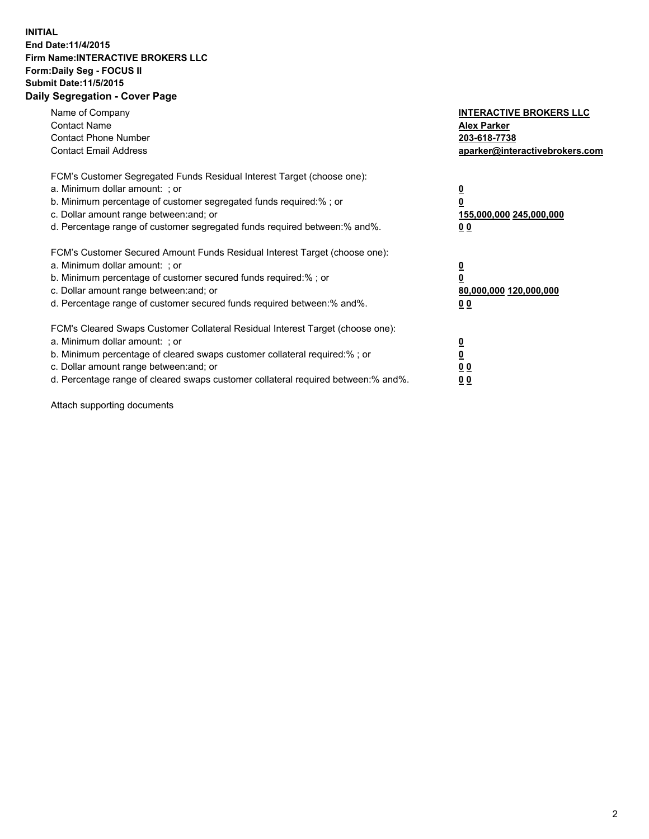## **INITIAL End Date:11/4/2015 Firm Name:INTERACTIVE BROKERS LLC Form:Daily Seg - FOCUS II Submit Date:11/5/2015 Daily Segregation - Cover Page**

| Name of Company<br><b>Contact Name</b><br><b>Contact Phone Number</b><br><b>Contact Email Address</b>                                                                                                                                                                                                                          | <b>INTERACTIVE BROKERS LLC</b><br><b>Alex Parker</b><br>203-618-7738<br>aparker@interactivebrokers.com |
|--------------------------------------------------------------------------------------------------------------------------------------------------------------------------------------------------------------------------------------------------------------------------------------------------------------------------------|--------------------------------------------------------------------------------------------------------|
| FCM's Customer Segregated Funds Residual Interest Target (choose one):<br>a. Minimum dollar amount: ; or<br>b. Minimum percentage of customer segregated funds required:% ; or<br>c. Dollar amount range between: and; or<br>d. Percentage range of customer segregated funds required between:% and%.                         | <u>0</u><br>155,000,000 245,000,000<br><u>00</u>                                                       |
| FCM's Customer Secured Amount Funds Residual Interest Target (choose one):<br>a. Minimum dollar amount: ; or<br>b. Minimum percentage of customer secured funds required:% ; or<br>c. Dollar amount range between: and; or<br>d. Percentage range of customer secured funds required between:% and%.                           | <u>0</u><br>80,000,000 120,000,000<br>0 <sub>0</sub>                                                   |
| FCM's Cleared Swaps Customer Collateral Residual Interest Target (choose one):<br>a. Minimum dollar amount: ; or<br>b. Minimum percentage of cleared swaps customer collateral required:% ; or<br>c. Dollar amount range between: and; or<br>d. Percentage range of cleared swaps customer collateral required between:% and%. | <u>0</u><br>0 <sub>0</sub><br>0 <sub>0</sub>                                                           |

Attach supporting documents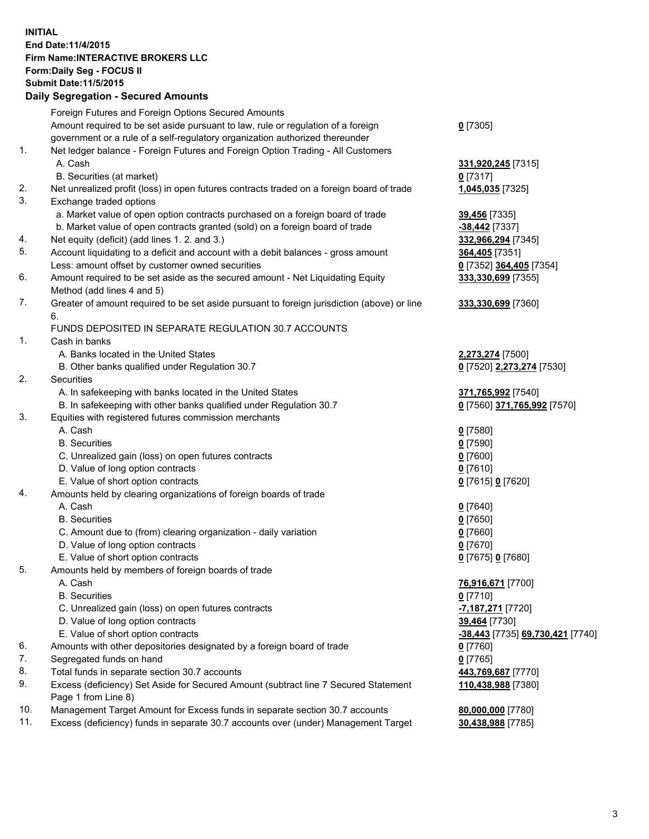## **INITIAL End Date:11/4/2015 Firm Name:INTERACTIVE BROKERS LLC Form:Daily Seg - FOCUS II Submit Date:11/5/2015 Daily Segregation - Secured Amounts**

|     | Dany Ocgregation - Oceanea Annoanta                                                                        |                                  |
|-----|------------------------------------------------------------------------------------------------------------|----------------------------------|
|     | Foreign Futures and Foreign Options Secured Amounts                                                        |                                  |
|     | Amount required to be set aside pursuant to law, rule or regulation of a foreign                           | $0$ [7305]                       |
|     | government or a rule of a self-regulatory organization authorized thereunder                               |                                  |
| 1.  | Net ledger balance - Foreign Futures and Foreign Option Trading - All Customers                            |                                  |
|     | A. Cash                                                                                                    | 331,920,245 [7315]               |
|     | B. Securities (at market)                                                                                  | $0$ [7317]                       |
| 2.  | Net unrealized profit (loss) in open futures contracts traded on a foreign board of trade                  | 1,045,035 [7325]                 |
| 3.  | Exchange traded options                                                                                    |                                  |
|     | a. Market value of open option contracts purchased on a foreign board of trade                             | 39,456 [7335]                    |
|     | b. Market value of open contracts granted (sold) on a foreign board of trade                               | $-38,442$ [7337]                 |
| 4.  | Net equity (deficit) (add lines 1.2. and 3.)                                                               | 332,966,294 [7345]               |
| 5.  | Account liquidating to a deficit and account with a debit balances - gross amount                          | 364,405 [7351]                   |
|     | Less: amount offset by customer owned securities                                                           | 0 [7352] 364,405 [7354]          |
| 6.  | Amount required to be set aside as the secured amount - Net Liquidating Equity                             | 333,330,699 [7355]               |
|     | Method (add lines 4 and 5)                                                                                 |                                  |
| 7.  | Greater of amount required to be set aside pursuant to foreign jurisdiction (above) or line                | 333,330,699 [7360]               |
|     | 6.                                                                                                         |                                  |
|     | FUNDS DEPOSITED IN SEPARATE REGULATION 30.7 ACCOUNTS                                                       |                                  |
| 1.  | Cash in banks                                                                                              |                                  |
|     | A. Banks located in the United States                                                                      | 2,273,274 [7500]                 |
|     | B. Other banks qualified under Regulation 30.7                                                             | 0 [7520] 2,273,274 [7530]        |
| 2.  | Securities                                                                                                 |                                  |
|     | A. In safekeeping with banks located in the United States                                                  | 371,765,992 [7540]               |
|     | B. In safekeeping with other banks qualified under Regulation 30.7                                         | 0 [7560] 371,765,992 [7570]      |
| 3.  | Equities with registered futures commission merchants                                                      |                                  |
|     | A. Cash                                                                                                    | $0$ [7580]                       |
|     | <b>B.</b> Securities                                                                                       | $0$ [7590]                       |
|     | C. Unrealized gain (loss) on open futures contracts                                                        | $0$ [7600]                       |
|     | D. Value of long option contracts                                                                          | $0$ [7610]                       |
|     | E. Value of short option contracts                                                                         | 0 [7615] 0 [7620]                |
| 4.  | Amounts held by clearing organizations of foreign boards of trade                                          |                                  |
|     | A. Cash                                                                                                    | $0$ [7640]                       |
|     | <b>B.</b> Securities                                                                                       | $0$ [7650]                       |
|     | C. Amount due to (from) clearing organization - daily variation                                            | $0$ [7660]                       |
|     | D. Value of long option contracts                                                                          | $0$ [7670]                       |
|     | E. Value of short option contracts                                                                         | 0 [7675] 0 [7680]                |
| 5.  | Amounts held by members of foreign boards of trade                                                         |                                  |
|     | A. Cash                                                                                                    | 76,916,671 [7700]                |
|     | <b>B.</b> Securities                                                                                       | $0$ [7710]                       |
|     | C. Unrealized gain (loss) on open futures contracts                                                        | -7,187,271 [7720]                |
|     | D. Value of long option contracts                                                                          | 39,464 [7730]                    |
|     | E. Value of short option contracts                                                                         | -38,443 [7735] 69,730,421 [7740] |
| 6.  | Amounts with other depositories designated by a foreign board of trade                                     | $0$ [7760]                       |
| 7.  | Segregated funds on hand                                                                                   | $0$ [7765]                       |
| 8.  | Total funds in separate section 30.7 accounts                                                              | 443,769,687 [7770]               |
| 9.  | Excess (deficiency) Set Aside for Secured Amount (subtract line 7 Secured Statement<br>Page 1 from Line 8) | 110,438,988 [7380]               |
| 10. | Management Target Amount for Excess funds in separate section 30.7 accounts                                | 80,000,000 [7780]                |
| 11. | Excess (deficiency) funds in separate 30.7 accounts over (under) Management Target                         | 30,438,988 [7785]                |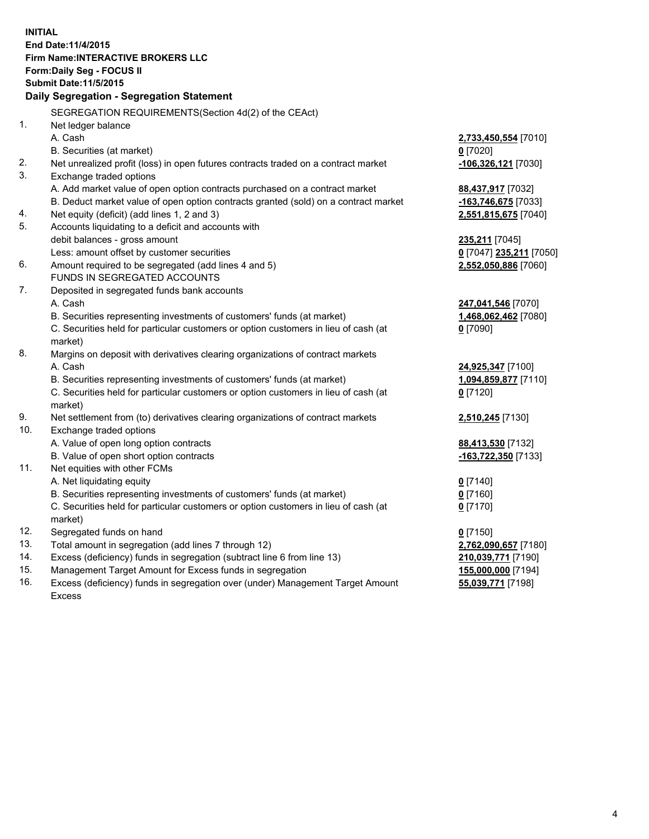**INITIAL End Date:11/4/2015 Firm Name:INTERACTIVE BROKERS LLC Form:Daily Seg - FOCUS II Submit Date:11/5/2015 Daily Segregation - Segregation Statement** SEGREGATION REQUIREMENTS(Section 4d(2) of the CEAct) 1. Net ledger balance A. Cash **2,733,450,554** [7010] B. Securities (at market) **0** [7020] 2. Net unrealized profit (loss) in open futures contracts traded on a contract market **-106,326,121** [7030] 3. Exchange traded options A. Add market value of open option contracts purchased on a contract market **88,437,917** [7032] B. Deduct market value of open option contracts granted (sold) on a contract market **-163,746,675** [7033] 4. Net equity (deficit) (add lines 1, 2 and 3) **2,551,815,675** [7040] 5. Accounts liquidating to a deficit and accounts with debit balances - gross amount **235,211** [7045] Less: amount offset by customer securities **0** [7047] **235,211** [7050] 6. Amount required to be segregated (add lines 4 and 5) **2,552,050,886** [7060] FUNDS IN SEGREGATED ACCOUNTS 7. Deposited in segregated funds bank accounts A. Cash **247,041,546** [7070] B. Securities representing investments of customers' funds (at market) **1,468,062,462** [7080] C. Securities held for particular customers or option customers in lieu of cash (at market) **0** [7090] 8. Margins on deposit with derivatives clearing organizations of contract markets A. Cash **24,925,347** [7100] B. Securities representing investments of customers' funds (at market) **1,094,859,877** [7110] C. Securities held for particular customers or option customers in lieu of cash (at market) **0** [7120] 9. Net settlement from (to) derivatives clearing organizations of contract markets **2,510,245** [7130] 10. Exchange traded options A. Value of open long option contracts **88,413,530** [7132] B. Value of open short option contracts **-163,722,350** [7133] 11. Net equities with other FCMs A. Net liquidating equity **0** [7140] B. Securities representing investments of customers' funds (at market) **0** [7160] C. Securities held for particular customers or option customers in lieu of cash (at market) **0** [7170] 12. Segregated funds on hand **0** [7150] 13. Total amount in segregation (add lines 7 through 12) **2,762,090,657** [7180] 14. Excess (deficiency) funds in segregation (subtract line 6 from line 13) **210,039,771** [7190] 15. Management Target Amount for Excess funds in segregation **155,000,000** [7194] **55,039,771** [7198]

16. Excess (deficiency) funds in segregation over (under) Management Target Amount Excess